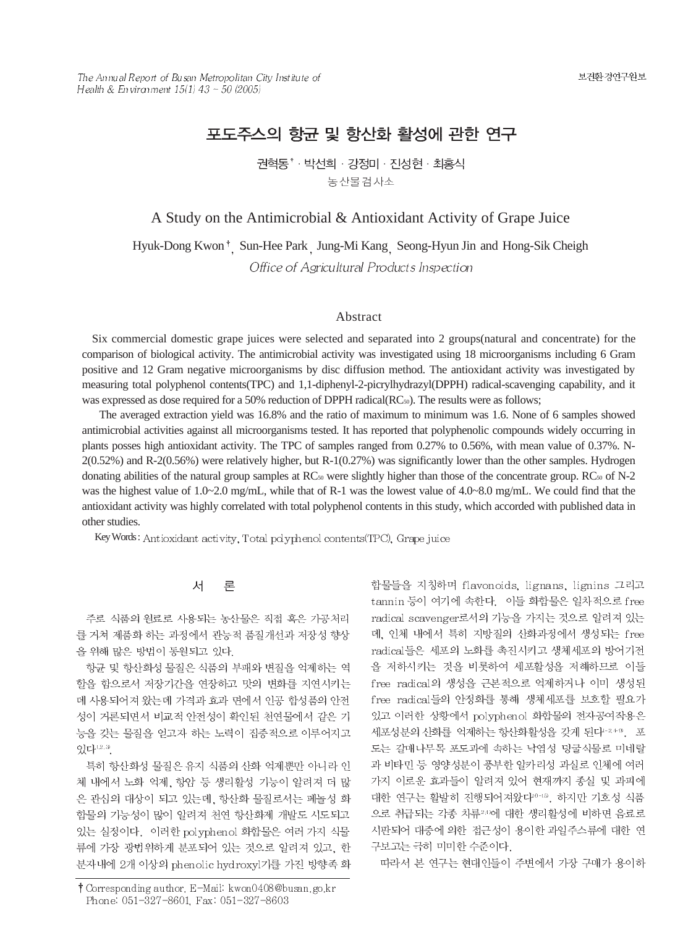The Annual Report of Busan Metropolitan City Institute of Health & Environment  $15(1)$  43 ~ 50 (2005)

# 포도주스의 항균 및 항산화 활성에 관한 연구

권혁동<sup>\*</sup> · 박선희 · 강정미 · 진성현 · 최홍식 농산물검사소

# A Study on the Antimicrobial & Antioxidant Activity of Grape Juice

Hyuk-Dong Kwon<sup>†</sup> Sun-Hee Park Jung-Mi Kang Seong-Hyun Jin and Hong-Sik Cheigh Office of Agricultural Products Inspection

### Abstract

Six commercial domestic grape juices were selected and separated into 2 groups(natural and concentrate) for the comparison of biological activity. The antimicrobial activity was investigated using 18 microorganisms including 6 Gram positive and 12 Gram negative microorganisms by disc diffusion method. The antioxidant activity was investigated by measuring total polyphenol contents(TPC) and 1,1-diphenyl-2-picrylhydrazyl(DPPH) radical-scavenging capability, and it was expressed as dose required for a 50% reduction of DPPH radical(RC<sub>50</sub>). The results were as follows;

The averaged extraction yield was 16.8% and the ratio of maximum to minimum was 1.6. None of 6 samples showed antimicrobial activities against all microorganisms tested. It has reported that polyphenolic compounds widely occurring in plants posses high antioxidant activity. The TPC of samples ranged from 0.27% to 0.56%, with mean value of 0.37%. N-2(0.52%) and R-2(0.56%) were relatively higher, but R-1(0.27%) was significantly lower than the other samples. Hydrogen donating abilities of the natural group samples at  $RC_{50}$  were slightly higher than those of the concentrate group.  $RC_{50}$  of N-2 was the highest value of  $1.0 \sim 2.0$  mg/mL, while that of R-1 was the lowest value of  $4.0 \sim 8.0$  mg/mL. We could find that the antioxidant activity was highly correlated with total polyphenol contents in this study, which accorded with published data in other studies.

Key Words: Antioxidant activity, Total polyphenol contents (TPC), Grape juice

#### 서 론

주로 식품의 원료로 사용되는 농산물은 직접 혹은 가공처리 를 거쳐 제품화 하는 과정에서 관능적 품질개선과 저장성 향상 을 위해 많은 방법이 동원되고 있다.

항균 및 항산화성 물질은 식품의 부패와 변질을 억제하는 역 할을 함으로서 저장기간을 연장하고 맛의 변화를 지연시키는 데 사용되어져 왔는데 가격과 효과 면에서 인공 합성품의 안전 성이 거론되면서 비교적 안전성이 확인된 천연물에서 같은 기 능을 갖는 물질을 얻고자 하는 노력이 집중적으로 이루어지고 있다<sup>12.3</sup>.

특히 항산화성 물질은 유지 식품의 산화 억제뿐만 아니라 인 체 내에서 노화 억제, 항암 등 생리활성 기능이 알려져 더 많 은 관심의 대상이 되고 있는데, 항산화 물질로서는 페놀성 화 합물의 기능성이 많이 알려져 천연 항산화제 개발도 시도되고 있는 실정이다. 이러한 polyphenol 화합물은 여러 가지 식물 류에 가장 광범위하게 분포되어 있는 것으로 알려져 있고, 한 분자내에 2개 이상의 phenolic hydroxyl기를 가진 방향족 화

† Corresponding author. E-Mail: kwon0408@busan.go.kr Phone: 051-327-8601, Fax: 051-327-8603

합물들을 지칭하며 flavonoids, lignans, lignins 그리고 tannin 등이 여기에 속한다. 이들 화합물은 일차적으로 free radical scavenger로서의 기능을 가지는 것으로 알려져 있는 데, 인체 내에서 특히 지방질의 산화과정에서 생성되는 free radical들은 세포의 노화를 촉진시키고 생체세포의 방어기전 을 저하시키는 것을 비롯하여 세포활성을 저해하므로 이들 free radical의 생성을 근본적으로 억제하거나 이미 생성된 free radical들의 안정화를 통해 생체세포를 보호할 필요가 있고 이러한 상황에서 polyphenol 화합물의 전자공여작용은 세포성분의 산화를 억제하는 항산화활성을 갖게 된다-24-9. 포 도는 갈매나무목 포도과에 속하는 낙엽성 덩굴식물로 미네랄 과 비타민 등 영양성분이 풍부한 알카리성 과실로 인체에 여러 가지 이로운 효과들이 알려져 있어 현재까지 종실 및 과피에 대한 연구는 활발히 진행되어져왔다<sup>10-13</sup>. 하지만 기호성 식품 으로 취급되는 각종 차류240에 대한 생리활성에 비하면 음료로 시판되어 대중에 의한 접근성이 용이한 과일주스류에 대한 연 구보고는 극히 미미한 수준이다.

따라서 본 연구는 현대인들이 주변에서 가장 구매가 용이하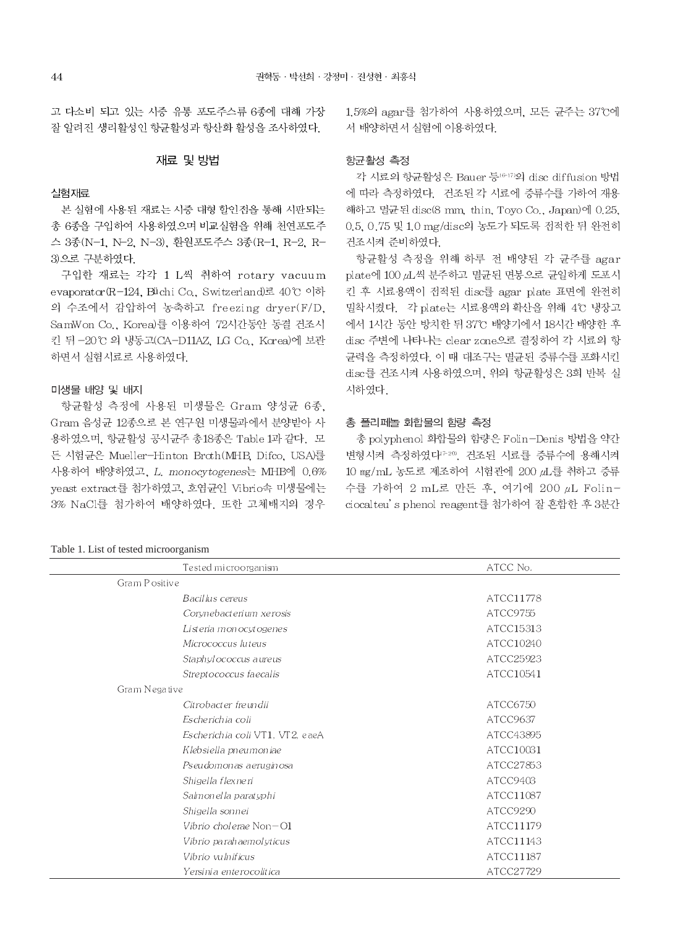고 다소비 되고 있는 시중 유통 포도주스류 6종에 대해 가장 잘 알려진 생리활성인 항균활성과 항산화 활성을 조사하였다.

#### 재료 및 방법

### 실험재료

본 실험에 사용된 재료는 시중 대형 할인접을 통해 시판되는 총 6종을 구입하여 사용하였으며 비교실험을 위해 천연포도주 스 3종(N-1, N-2, N-3), 환원포도주스 3종(R-1, R-2, R-3)으로 구분하였다.

구입한 재료는 각각 1 L씩 취하여 rotary vacuum evaporator(R-124, Büchi Co, Switzerland)로 40℃ 이하 의 수조에서 감압하여 농축하고 freezing dryer(F/D. SamWon Co., Korea)를 이용하여 72시간동안 동결 건조시 킨 뒤 -20℃ 의 냉동고(CA-D11AZ, LG Co, Korea)에 보관 하면서 실험시료로 사용하였다.

#### 미생물 배양 및 배지

항균활성 측정에 사용된 미생물은 Gram 양성균 6종, Gram 음성균 12종으로 본 연구원 미생물과에서 분양받아 사 용하였으며, 항균활성 공시균주 총18종은 Table 1과 같다. 모 든 시험균은 Mueller-Hinton Broth(MHB, Difco, USA)를 사용하여 배양하였고, L. monocytogenes는 MHB에 0.6% yeast extract를 첨가하였고, 호염균인 Vibrio속 미생물에는 3% NaCl를 첨가하여 배양하였다. 또한 고체배지의 경우

### Table 1 I jet of togted microorganism

1.5%의 agar를 첨가하여 사용하였으며, 모든 규주는 37°C에 서 배양하면서 실험에 이용하였다.

#### 항균활성 측정

각 시료의 항균활성은 Bauer 등 6-17)의 disc diffusion 방법 에 따라 측정하였다. 건조된 각 시료에 증류수를 가하여 재용 해하고 멸균된 disc(8 mm, thin, Toyo Co., Japan)에 0.25, 0.5, 0.75 및 1.0 mg/disc의 농도가 되도록 접적한 뒤 완전히 건조시켜 준비하였다.

항균활성 측정을 위해 하루 전 배양된 각 균주를 agar plate에 100 zL씩 분주하고 멸균된 면봉으로 균일하게 도포시 킨 후 시료용액이 점적된 disc를 agar plate 표면에 완전히 밀착시켰다. 각 plate는 시료용액의 확산을 위해 4℃ 냉장고 에서 1시간 동안 방치한 뒤 37℃ 배양기에서 18시간 배양한 후 disc 주변에 나타나는 clear zone으로 결정하여 각 시료의 항 균력을 측정하였다. 이 때 대조구는 멸균된 증류수를 포화시킨 disc를 건조시켜 사용하였으며, 위의 항균활성은 3회 반복 실 시하였다.

#### 총 폴리페놀 화합물의 함량 측정

총 polyphenol 화합물의 함량은 Folin-Denis 방법을 약간 변형시켜 측정하였다<sup>7-20</sup>, 건조된 시료를 증류수에 용해시켜 10 mg/mL 농도로 제조하여 시험관에 200 gL를 취하고 증류 수를 가하여 2 mL로 만든 후, 여기에 200 µL Folinciocalteu's phenol reagent를 첨가하여 잘 혼합한 후 3분간

| Tested microorganism            | ATCC No.  |
|---------------------------------|-----------|
| Gram Positive                   |           |
| Bacillus cereus                 | ATCC11778 |
| Corynebacterium xerosis         | ATCC9755  |
| Listeria monocytogenes          | ATCC15313 |
| Micrococcus luteus              | ATCC10240 |
| Staphylococcus aureus           | ATCC25923 |
| Strept ococcus faecal is        | ATCC10541 |
| Gram Negative                   |           |
| Citrobacter freundii            | ATCC6750  |
| Escherichia coli                | ATCC9637  |
| Escherichia coli VT1, VT2, eaeA | ATCC43895 |
| Klebsi ella pneumoniae          | ATCC10031 |
| Pseudomonas aeruginosa          | ATCC27853 |
| Shigella flexneri               | ATCC9403  |
| Salmonella paratyphi            | ATCC11087 |
| Shigella sonnei                 | ATCC9290  |
| Vibrio cholerae $Non-O1$        | ATCC11179 |
| Vibrio parahaemolyticus         | ATCC11143 |
| Vibrio vulnificus               | ATCC11187 |
| Yersinia enterocolitica         | ATCC27729 |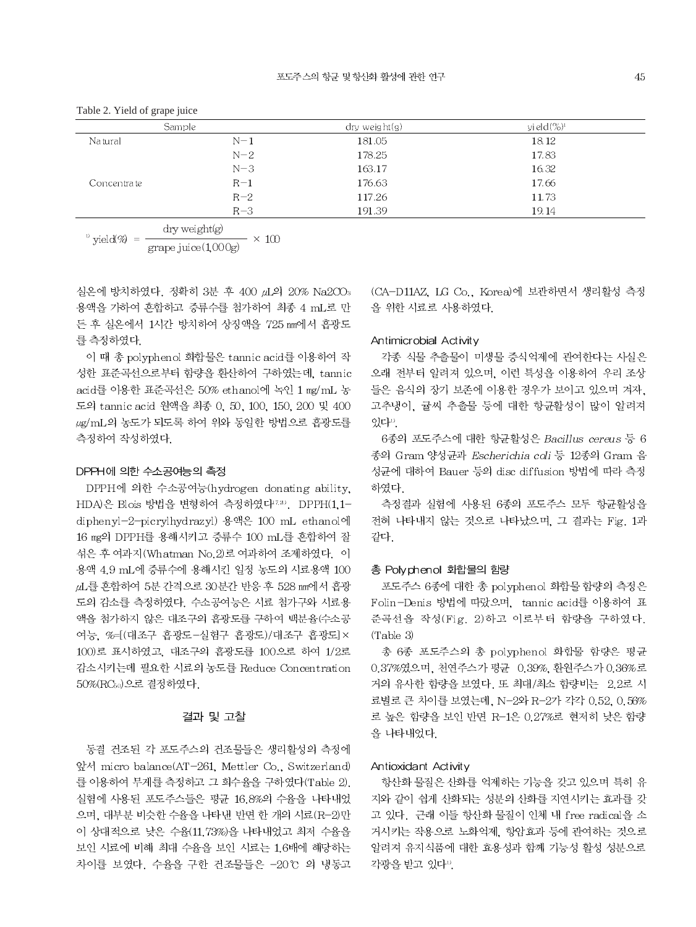| Sample      |       | $\frac{dy}{dx}$ weight $\frac{g}{g}$ | yield $(\%)^1$ |  |
|-------------|-------|--------------------------------------|----------------|--|
| Na tural    | $N-1$ | 181.05                               | 18.12          |  |
|             | $N-2$ | 178.25                               | 17.83          |  |
|             | $N-3$ | 163.17                               | 16.32          |  |
| Concentrate | $R-1$ | 176.63                               | 17.66          |  |
|             | $R-2$ | 117.26                               | 11.73          |  |
|             | $R-3$ | 191.39                               | 19.14          |  |

dry weight(g)  $\overline{v}$  vield(%) =  $- \times 100$ grape juice(1,000g)

실온에 방치하였다. 정확히 3분 후 400 µL의 20% Na2CO3 용액을 가하여 혼합하고 증류수를 첨가하여 최종 4 mL로 만 든 후 실온에서 1시간 방치하여 상징액을 725 nm에서 흡광도 를 측정하였다.

이 때 총 polyphenol 화합물은 tannic acid를 이용하여 작 성한 표준곡선으로부터 함량을 환산하여 구하였는데, tannic acid를 이용한 표준곡선은 50% ethanol에 녹인 1 mg/mL 농 도의 tannic acid 원액을 최종 0, 50, 100, 150, 200 및 400 ug/mL의 농도가 되도록 하여 위와 동일한 방법으로 흡광도를 측정하여 작성하였다.

#### DPPH에 의한 수소공여능의 측정

DPPH에 의한 수소공여능(hydrogen donating ability, HDA)은 Blois 방법을 변형하여 측정하였다<sup>17.20</sup>. DPPH(1.1diphenyl-2-picrylhydrazyl) 용액은 100 mL ethanol에 16 mg의 DPPH를 용해시키고 증류수 100 mL를 혼합하여 잘 섞은 후 여과지(Whatman No.2)로 여과하여 조제하였다. 이 용액 4.9 mL에 증류수에 용해시킨 일정 농도의 시료용액 100 pL를 혼합하여 5분 간격으로 30분간 반응 후 528 nm에서 흡광 도의 감소를 측정하였다. 수소공여능은 시료 첨가구와 시료용 액을 첨가하지 않은 대조구의 흡광도를 구하여 백분율(수소공 여능. %=[(대조구 흡광도-실험구 흡광도)/대조구 흡광도]× 100)로 표시하였고, 대조구의 흡광도를 100으로 하여 1/2로 감소시키는데 필요한 시료의 농도를 Reduce Concentration 50%(RC50)으로 결정하였다.

## 결과 및 고찰

동결 건조된 각 포도주스의 건조물들은 생리활성의 측정에 앞서 micro balance(AT-261, Mettler Co., Switzerland) 를 이용하여 무게를 측정하고 그 회수율을 구하였다(Table 2). 실험에 사용된 포도주스들은 평균 16.8%의 수율을 나타내었 으며, 대부분 비슷한 수율을 나타낸 반면 한 개의 시료(R-2)만 이 상대적으로 낮은 수율(11.73%)을 나타내었고 최저 수율을 보인 시료에 비해 최대 수율을 보인 시료는 1,6배에 해당하는 차이를 보였다. 수율을 구한 건조물들은 -20℃ 의 냉동고 (CA-D11AZ, LG Co., Korea)에 보관하면서 생리활성 측정 을 위한 시료로 사용하였다.

# Antimicrobial Activity

각종 식물 추출물이 미생물 증식억제에 관여한다는 사실은 오래 전부터 알려져 있으며, 이런 특성을 이용하여 우리 조상 들은 음식의 장기 보존에 이용한 경우가 보이고 있으며 겨자. 고추냉이, 귤씨 추출물 등에 대한 항균활성이 많이 알려져 있다".

6종의 포도주스에 대한 항균활성은 Bacillus cereus 등 6 종의 Gram 양성균과 Escherichia coli 등 12종의 Gram 음 성균에 대하여 Bauer 등의 disc diffusion 방법에 따라 측정 하였다.

측정결과 실험에 사용된 6종의 포도주스 모두 항균활성을 전혀 나타내지 않는 것으로 나타났으며, 그 결과는 Fig. 1과 같다.

# 총 Polyphenol 화합물의 함량

포도주스 6종에 대한 총 polyphenol 화합물 함량의 측정은 Folin-Denis 방법에 따랐으며, tannic acid를 이용하여 표 준곡선을 작성(Fig. 2)하고 이로부터 함량을 구하였다.  $(Table 3)$ 

총 6종 포도주스의 총 polyphenol 화합물 함량은 평균 0.37%였으며, 천연주스가 평균 0.39%, 환원주스가 0.36%로 거의 유사한 함량을 보였다. 또 최대/최소 함량비는 2.2로 시 료별로 큰 차이를 보였는데, N-2와 R-2가 각각 0.52, 0.56% 로 높은 함량을 보인 반면 R-1은 0.27%로 현저히 낮은 함량 을 나타내었다.

#### Antioxidant Activity

항산화 물질은 산화를 억제하는 기능을 갖고 있으며 특히 유 지와 같이 쉽게 산화되는 성분의 산화를 지연시키는 효과를 갖 고 있다. 근래 이들 항산화 물질이 인체 내 free radical을 소 거시키는 작용으로 노화억제, 항암효과 등에 관여하는 것으로 알려져 유지식품에 대한 효용성과 함께 기능성 활성 성분으로 각광을 받고 있다".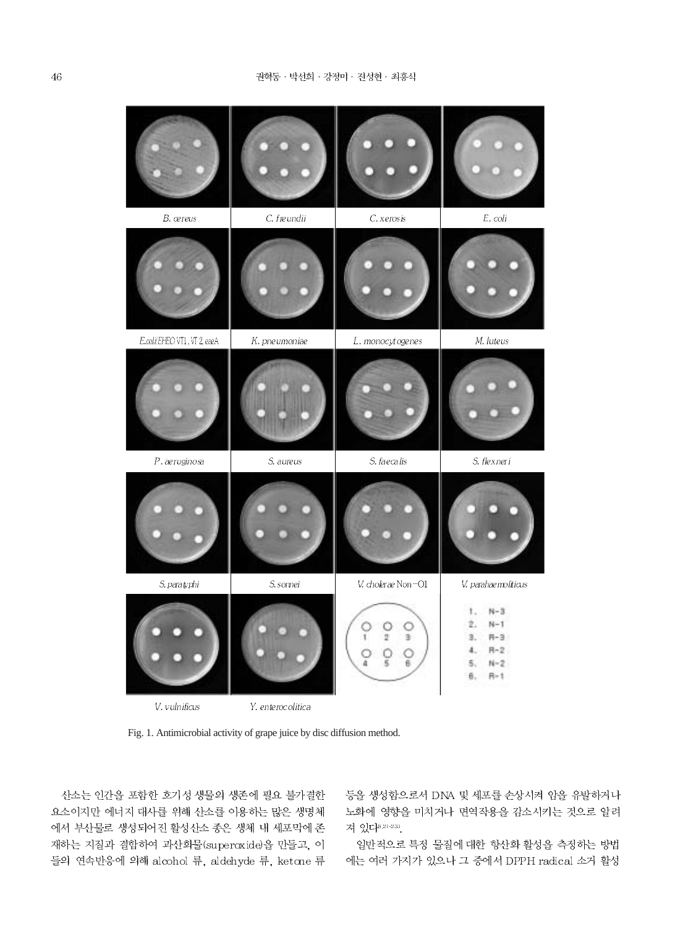C. freundii E. coli B. cereus C. xerosis E.coli/EHEC/VT1, VT2, eaeA M. luteus K. pneumoniae L. monocytogenes S. faecalis  $P.$  aeruginosa S. flexneri S. aureus S. paratyphi S. somei V. cholerae Non-O1 V. parahaemolticus  $N-3$  $N-1$ О C Ŷ  $\overline{2}$  $\overline{\mathbf{3}}$  $H-3$ 3.  $\frac{0}{5}$  $H-2$  $\circ$  $\overline{a}$ O Ř. 5.  $N-2$ в.  $H-1$ 

V. vulnificus

Y. enterocolitica

Fig. 1. Antimicrobial activity of grape juice by disc diffusion method.

산소는 인간을 포함한 호기성 생물의 생존에 필요 불가결한 요소이지만 에너지 대사를 위해 산소를 이용하는 많은 생명체 에서 부산물로 생성되어진 활성산소 종은 생체 내 세포막에 존 재하는 지질과 결합하여 과산화물(superoxide)을 만들고, 이 들의 연속반응에 의해 alcohol 류, aldehyde 류, ketone 류 등을 생성함으로서 DNA 및 세포를 손상시켜 암을 유발하거나 노화에 영향을 미치거나 면역작용을 감소시키는 것으로 알려 져 있다<sup>8,21-23)</sup>.

일반적으로 특정 물질에 대한 항산화 활성을 측정하는 방법 에는 여러 가지가 있으나 그 중에서 DPPH radical 소거 활성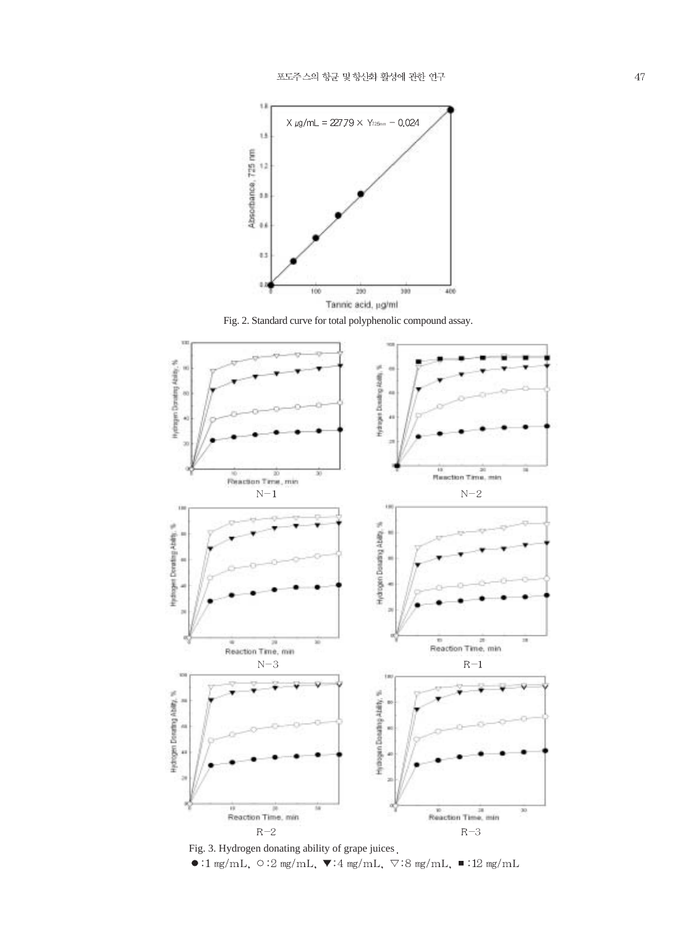

Fig. 2. Standard curve for total polyphenolic compound assay.



Fig. 3. Hydrogen donating ability of grape juices.<br>  $\bullet : 1 \text{ mg/mL}, \circ : 2 \text{ mg/mL}, \blacktriangledown : 4 \text{ mg/mL}, \blacktriangledown : 8 \text{ mg/mL}, \blacktriangledown : 12 \text{ mg/mL}$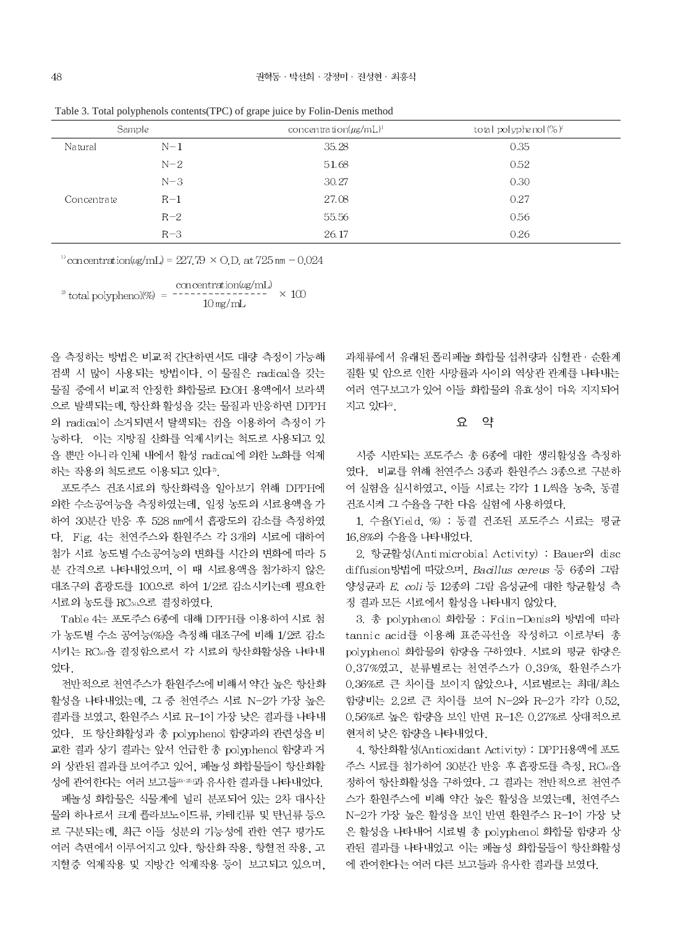| Sample      |       | concentration( $\mu$ g/mL) <sup>1</sup> | total polyphenol(%)* |  |  |  |
|-------------|-------|-----------------------------------------|----------------------|--|--|--|
| Na tural    | $N-1$ | 35.28                                   | 0.35                 |  |  |  |
|             | $N-2$ | 51.68                                   | 0.52                 |  |  |  |
|             | $N-3$ | 30.27                                   | 0.30                 |  |  |  |
| Concentrate | $R-1$ | 27.08                                   | 0.27                 |  |  |  |
|             | $R-2$ | 55.56                                   | 0.56                 |  |  |  |
|             | $R-3$ | 26.17                                   | 0.26                 |  |  |  |

Table 3. Total polyphenols contents (TPC) of grape juice by Folin-Denis method

 $\mu$  concentration( $\mu$ g/mL) = 227.79 × O.D. at 725 nm - 0.024

concentration(ug/mL)  $\times$  100  $\degree$  total polyphenol(%) =  $10$  mg/mL

을 측정하는 방법은 비교적 간단하면서도 대량 측정이 가능해 검색 시 많이 사용되는 방법이다. 이 물질은 radical을 갖는 물질 중에서 비교적 안정한 화합물로 FtOH 용액에서 보라색 으로 발색되는데, 항산화 활성을 갖는 물질과 반응하면 DPPH 의 radical이 소거되면서 탈색되는 점을 이용하여 측정이 가 능하다. 이는 지방질 산화를 억제시키는 척도로 사용되고 있 을 뿐만 아니라 인체 내에서 활성 radical에 의한 노화를 억제 하는 작용의 척도로도 이용되고 있다".

포도주스 건조시료의 항산화력을 알아보기 위해 DPPH에 의한 수소공여능을 측정하였는데, 일정 농도의 시료용액을 가 하여 30분간 반응 후 528 nm에서 흡광도의 감소를 측정하였 다. Fig. 4는 천연주스와 환원주스 각 3개의 시료에 대하여 첨가 시료 농도별 수소공여능의 변화를 시간의 변화에 따라 5 분 간격으로 나타내었으며, 이 때 시료용액을 첨가하지 않은 대조구의 흡광도를 100으로 하여 1/2로 감소시키는데 필요한 시료의 농도를 RC50으로 결정하였다.

Table 4는 포도주스 6종에 대해 DPPH를 이용하여 시료 첨 가 농도별 수소 공여능(%)을 측정해 대조구에 비해 1/2로 감소 시키는 RCso을 결정함으로서 각 시료의 항산화활성을 나타내 었다.

전반적으로 천연주스가 환원주스에 비해서 약간 높은 항산화 활성을 나타내었는데, 그 중 천연주스 시료 N-2가 가장 높은 결과를 보였고, 환원주스 시료 R-1이 가장 낮은 결과를 나타내 었다. 또 항산화활성과 총 polyphenol 함량과의 관련성을 비 교한 결과 상기 결과는 앞서 언급한 총 polyphenol 함량과 거 의 상관된 결과를 보여주고 있어, 페놀성 화합물들이 항산화활 성에 관여한다는 여러 보고들23-25)과 유사한 결과를 나타내었다.

폐놀성 화합물은 식물계에 널리 분포되어 있는 2차 대사산 물의 하나로서 크게 플라보노이드류, 카테킨류 및 탄닌류 등으 로 구분되는데, 최근 이들 성분의 기능성에 관한 연구 평가도 여러 측면에서 이루어지고 있다. 항산화 작용, 항혈전 작용, 고 지혈증 억제작용 및 지방간 억제작용 등이 보고되고 있으며, 과채류에서 유래된 폴리페놀 화합물 섭취량과 심혈관 · 순환계 질환 및 암으로 인한 사망률과 사이의 역상관 관계를 나타내는 여러 연구보고가 있어 이들 화합물의 유효성이 더욱 지지되어 지고 있다<sup>5</sup>.

#### $\Omega$ 약

시중 시판되는 포도주스 총 6종에 대한 생리활성을 측정하 였다. 비교를 위해 천연주스 3종과 환원주스 3종으로 구분하 여 실험을 실시하였고, 이들 시료는 각각 1 L씩을 농축, 동결 건조시켜 그 수율을 구한 다음 실험에 사용하였다.

1. 수율(Yield, %) : 동결 건조된 포도주스 시료는 평균 16.8%의 수율을 나타내었다.

2. 항균활성(Antimicrobial Activity) : Bauer의 disc diffusion방법에 따랐으며, Bacillus cereus 등 6종의 그람 양성균과 E. coli 등 12종의 그람 음성균에 대한 항균활성 측 정 결과 모든 시료에서 활성을 나타내지 않았다.

3. 총 polyphenol 화합물 : Folin-Denis의 방법에 따라 tannic acid를 이용해 표준곡선을 작성하고 이로부터 총 polyphenol 화합물의 함량을 구하였다. 시료의 평균 함량은 0.37%였고, 분류별로는 천연주스가 0.39%, 환원주스가 0.36%로 큰 차이를 보이지 않았으나, 시료별로는 최대/최소 함량비는 2.2로 큰 차이를 보여 N-2와 R-2가 각각 0.52. 0.56%로 높은 함량을 보인 반면 R-1은 0.27%로 상대적으로 현저히 낮은 함량을 나타내었다.

4. 항산화활성(Antioxidant Activity) : DPPH용액에 포도 주스 시료를 첨가하여 30분간 반응 후 흡광도를 측정, RCso을 정하여 항산화활성을 구하였다. 그 결과는 전반적으로 천연주 스가 환원주스에 비해 약간 높은 활성을 보였는데, 천연주스 N-2가 가장 높은 활성을 보인 반면 환원주스 R-1이 가장 낮 은 활성을 나타내어 시료별 총 polyphenol 화합물 함량과 상 관된 결과를 나타내었고 이는 페놀성 화합물들이 항산화활성 에 관여한다는 여러 다른 보고들과 유사한 결과를 보였다.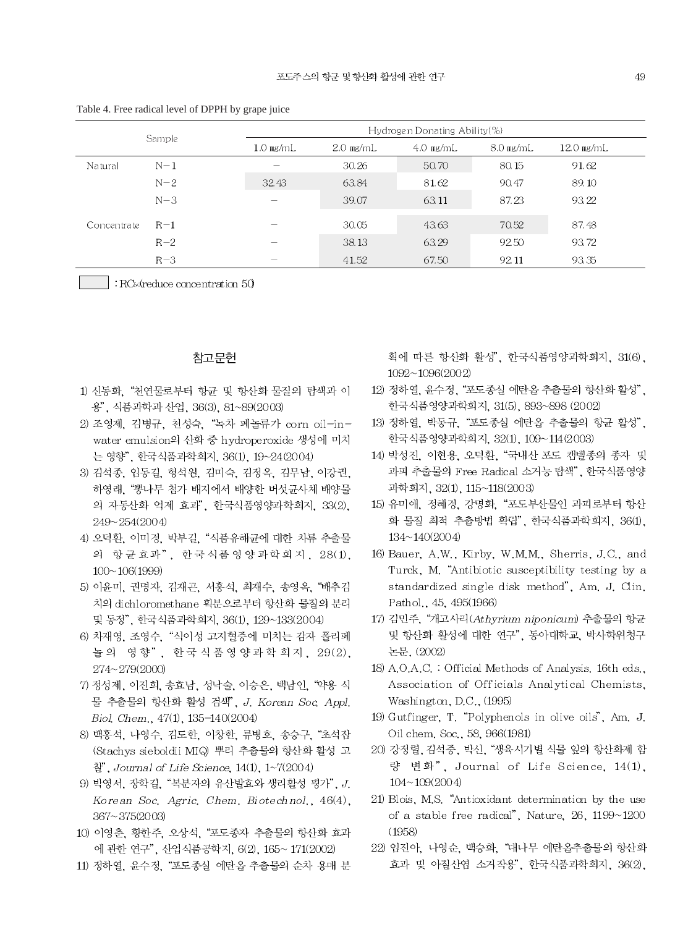| Sample       |       | Hydrogen Donating Ability $(\%)$ |             |             |             |              |
|--------------|-------|----------------------------------|-------------|-------------|-------------|--------------|
|              |       | $1.0$ mg/mL                      | $2.0$ mg/mL | $4.0$ mg/mL | $8.0$ mg/mL | $12.0$ mg/mL |
| Natural      | $N-1$ |                                  | 30.26       | 50.70       | 80.15       | 91.62        |
|              | $N-2$ | 32.43                            | 63.84       | 81.62       | 90.47       | 89.10        |
|              | $N-3$ | -                                | 39.07       | 63.11       | 87.23       | 93.22        |
| Concentra te | $R-1$ | -                                | 30.05       | 43.63       | 70.52       | 87.48        |
|              | $R-2$ |                                  | 38.13       | 63.29       | 92.50       | 93.72        |
|              | $R-3$ | $\overline{\phantom{a}}$         | 41.52       | 67.50       | 92.11       | 93.35        |

Table 4. Free radical level of DPPH by grape juice

 $\vert$  : RC<sub>s</sub> dreduce concentration 50

# 참고문헌

- 1) 신동화, "천연물로부터 항균 및 항산화 물질의 탐색과 이 용", 식품과학과 산업, 36(3), 81~89(2003)
- 2) 조영제, 김병규, 천성숙, "녹차 페놀류가 corn oil-inwater emulsion의 산화 중 hydroperoxide 생성에 미치 는 영향", 한국식품과학회지, 36(1), 19~24(2004)
- 3) 김석종, 임동길, 형석원, 김미숙, 김정옥, 김무남, 이강권, 하영래, "뽕나무 첨가 배지에서 배양한 버섯균사체 배양물 의 자동산화 억제 효과", 한국식품영양과학회지, 33(2), 249~254(2004)
- 4) 오덕환, 이미경, 박부길, "식품유해균에 대한 차류 추출물 의 항균효과", 한국식품영양과학회지, 28(1),  $100 \sim 106(1999)$
- 5) 이윤미, 권명자, 김재곤, 서홍석, 최재수, 송영옥, "배추김 치의 dichloromethane 획분으로부터 항산화 물질의 분리 및 동정", 한국식품과학회지, 36(1), 129~133(2004)
- 6) 차재영, 조영수, "식이성 고지혈증에 미치는 감자 폴리페 놀의 영향", 한국식품영양과학회지, 29(2), 274~279(2000)
- 7) 정성제, 이진희, 송효남, 성낙술, 이승은, 백남인, "약용 식 물 추출물의 항산화 활성 검색", J. Korean Soc. Appl. Biol. Chem., 47(1), 135-140(2004)
- 8) 백홍석, 나영수, 김도한, 이창한, 류병호, 송승구, "초석잡 (Stachys sieboldii MIQ) 뿌리 추출물의 항산화 활성 고  $\frac{3}{2}$ , Journal of Life Science, 14(1), 1~7(2004)
- 9) 박영서, 장학길, "복분자의 유산발효와 생리활성 평가", J. Korean Soc. Agric. Chem. Biotechnol., 46(4), 367~375(2003)
- 10) 이영춘, 황한주, 오상석, "포도종자 추출물의 항산화 효과 에 관한 연구", 산업식품공학지, 6(2), 165~171(2002)
- 11) 정하열, 윤수정, "포도종실 에탄올 추출물의 순차 용매 분

획에 따른 항산화 활성", 한국식품영양과학회지, 31(6),  $1092 - 1096(2002)$ 

- 12) 정하열, 윤수정, "포도종실 에탄올 추출물의 항산화 활성", 한국식품영양과학회지, 31(5), 893~898 (2002)
- 13) 정하열, 박동규, "포도종실 에탄올 추출물의 항균 활성", 한국식품영양과학회지, 32(1), 109~114(2003)
- 14) 박성진, 이현용, 오덕환, "국내산 포도 캠벨종의 종자 및 과피 추출물의 Free Radical 소거능 탐색", 한국식품영양 과학회지, 32(1), 115~118(2003)
- 15) 유미애, 정혜경, 강명화, "포도부산물인 과피로부터 항산 화 물질 최적 추출방법 확립", 한국식품과학회지, 36(1),  $134 \sim 140(2004)$
- 16) Bauer, A.W., Kirby, W.M.M., Sherris, J.C., and Turck, M. "Antibiotic susceptibility testing by a standardized single disk method", Am. J. Clin. Pathol., 45, 495(1966)
- 17) 김민주, "개고사리(Athyrium niponicum) 추출물의 항균 및 항산화 활성에 대한 연구", 동아대학교, 박사학위청구 논문. (2002)
- 18) A.O.A.C. : Official Methods of Analysis. 16th eds., Association of Officials Analytical Chemists, Washington,  $D.C., (1995)$
- 19) Gutfinger, T. "Polyphenols in olive oils", Am. J. Oil chem. Soc., 58, 966(1981)
- 20) 강정렬, 김석중, 박신, "생육시기별 식물 잎의 항산화제 함 량 변화", Journal of Life Science, 14(1),  $104 \sim 109(2004)$
- 21) Blois, M.S. "Antioxidant determination by the use of a stable free radical", Nature, 26, 1199~1200  $(1958)$
- 22) 임진아, 나영순, 백승화, "대나무 에탄올추출물의 항산화 효과 및 아질산염 소거작용", 한국식품과학회지, 36(2),